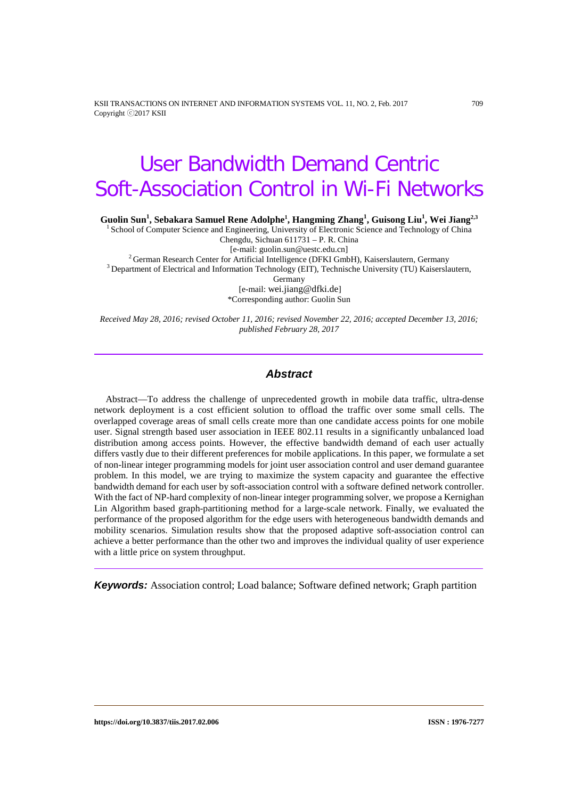KSII TRANSACTIONS ON INTERNET AND INFORMATION SYSTEMS VOL. 11, NO. 2, Feb. 2017 709 Copyright ⓒ2017 KSII

# User Bandwidth Demand Centric Soft-Association Control in Wi-Fi Networks

**Guolin Sun1 , Sebakara Samuel Rene Adolphe1 , Hangming Zhang<sup>1</sup> , Guisong Liu1 , Wei Jiang2,3**

<sup>1</sup> School of Computer Science and Engineering, University of Electronic Science and Technology of China Chengdu, Sichuan 611731 – P. R. China

[e-mail: guolin.sun@uestc.edu.cn]<br><sup>2</sup> German Research Center for Artificial Intelligence (DFKI GmbH), Kaiserslautern, Germany<sup>3</sup><br><sup>3</sup> Department of Electrical and Information Technology (EIT), Technische University (TU) Kai

Germany

[e-mail: wei.jiang@dfki.de] \*Corresponding author: Guolin Sun

*Received May 28, 2016; revised October 11, 2016; revised November 22, 2016; accepted December 13, 2016; published February 28, 2017*

# *Abstract*

Abstract—To address the challenge of unprecedented growth in mobile data traffic, ultra-dense network deployment is a cost efficient solution to offload the traffic over some small cells. The overlapped coverage areas of small cells create more than one candidate access points for one mobile user. Signal strength based user association in IEEE 802.11 results in a significantly unbalanced load distribution among access points. However, the effective bandwidth demand of each user actually differs vastly due to their different preferences for mobile applications. In this paper, we formulate a set of non-linear integer programming models for joint user association control and user demand guarantee problem. In this model, we are trying to maximize the system capacity and guarantee the effective bandwidth demand for each user by soft-association control with a software defined network controller. With the fact of NP-hard complexity of non-linear integer programming solver, we propose a Kernighan Lin Algorithm based graph-partitioning method for a large-scale network. Finally, we evaluated the performance of the proposed algorithm for the edge users with heterogeneous bandwidth demands and mobility scenarios. Simulation results show that the proposed adaptive soft-association control can achieve a better performance than the other two and improves the individual quality of user experience with a little price on system throughput.

*Keywords:* Association control; Load balance; Software defined network; Graph partition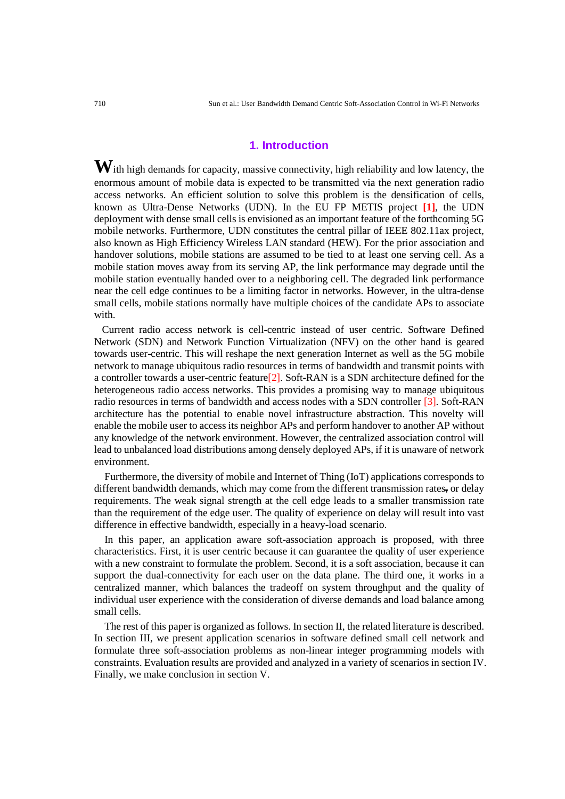# **1. Introduction**

**W**ith high demands for capacity, massive connectivity, high reliability and low latency, the enormous amount of mobile data is expected to be transmitted via the next generation radio access networks. An efficient solution to solve this problem is the densification of cells, known as Ultra-Dense Networks (UDN). In the EU FP METIS project **[1]**, the UDN deployment with dense small cells is envisioned as an important feature of the forthcoming 5G mobile networks. Furthermore, UDN constitutes the central pillar of IEEE 802.11ax project, also known as High Efficiency Wireless LAN standard (HEW). For the prior association and handover solutions, mobile stations are assumed to be tied to at least one serving cell. As a mobile station moves away from its serving AP, the link performance may degrade until the mobile station eventually handed over to a neighboring cell. The degraded link performance near the cell edge continues to be a limiting factor in networks. However, in the ultra-dense small cells, mobile stations normally have multiple choices of the candidate APs to associate with.

 Current radio access network is cell-centric instead of user centric. Software Defined Network (SDN) and Network Function Virtualization (NFV) on the other hand is geared towards user-centric. This will reshape the next generation Internet as well as the 5G mobile network to manage ubiquitous radio resources in terms of bandwidth and transmit points with a controller towards a user-centric feature[2]. Soft-RAN is a SDN architecture defined for the heterogeneous radio access networks. This provides a promising way to manage ubiquitous radio resources in terms of bandwidth and access nodes with a SDN controller [3]. Soft-RAN architecture has the potential to enable novel infrastructure abstraction. This novelty will enable the mobile user to access its neighbor APs and perform handover to another AP without any knowledge of the network environment. However, the centralized association control will lead to unbalanced load distributions among densely deployed APs, if it is unaware of network environment.

Furthermore, the diversity of mobile and Internet of Thing (IoT) applications corresponds to different bandwidth demands, which may come from the different transmission rates, or delay requirements. The weak signal strength at the cell edge leads to a smaller transmission rate than the requirement of the edge user. The quality of experience on delay will result into vast difference in effective bandwidth, especially in a heavy-load scenario.

In this paper, an application aware soft-association approach is proposed, with three characteristics. First, it is user centric because it can guarantee the quality of user experience with a new constraint to formulate the problem. Second, it is a soft association, because it can support the dual-connectivity for each user on the data plane. The third one, it works in a centralized manner, which balances the tradeoff on system throughput and the quality of individual user experience with the consideration of diverse demands and load balance among small cells.

The rest of this paper is organized as follows. In section II, the related literature is described. In section III, we present application scenarios in software defined small cell network and formulate three soft-association problems as non-linear integer programming models with constraints. Evaluation results are provided and analyzed in a variety of scenarios in section IV. Finally, we make conclusion in section V.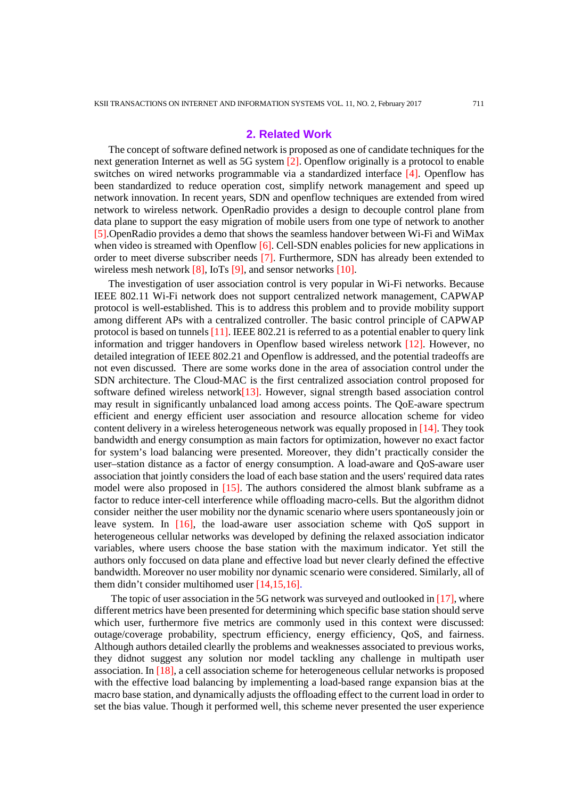#### **2. Related Work**

The concept of software defined network is proposed as one of candidate techniques for the next generation Internet as well as 5G system [2]. Openflow originally is a protocol to enable switches on wired networks programmable via a standardized interface [4]. Openflow has been standardized to reduce operation cost, simplify network management and speed up network innovation. In recent years, SDN and openflow techniques are extended from wired network to wireless network. OpenRadio provides a design to decouple control plane from data plane to support the easy migration of mobile users from one type of network to another [5].OpenRadio provides a demo that shows the seamless handover between Wi-Fi and WiMax when video is streamed with Openflow [6]. Cell-SDN enables policies for new applications in order to meet diverse subscriber needs [7]. Furthermore, SDN has already been extended to wireless mesh network  $[8]$ , IoTs  $[9]$ , and sensor networks  $[10]$ .

The investigation of user association control is very popular in Wi-Fi networks. Because IEEE 802.11 Wi-Fi network does not support centralized network management, CAPWAP protocol is well-established. This is to address this problem and to provide mobility support among different APs with a centralized controller. The basic control principle of CAPWAP protocol is based on tunnels [11]. IEEE 802.21 is referred to as a potential enabler to query link information and trigger handovers in Openflow based wireless network [12]. However, no detailed integration of IEEE 802.21 and Openflow is addressed, and the potential tradeoffs are not even discussed. There are some works done in the area of association control under the SDN architecture. The Cloud-MAC is the first centralized association control proposed for software defined wireless network $[13]$ . However, signal strength based association control may result in significantly unbalanced load among access points. The QoE-aware spectrum efficient and energy efficient user association and resource allocation scheme for video content delivery in a wireless heterogeneous network was equally proposed in [14]. They took bandwidth and energy consumption as main factors for optimization, however no exact factor for system's load balancing were presented. Moreover, they didn't practically consider the user–station distance as a factor of energy consumption. A load-aware and QoS-aware user association that jointly considers the load of each base station and the users' required data rates model were also proposed in [15]. The authors considered the almost blank subframe as a factor to reduce inter-cell interference while offloading macro-cells. But the algorithm didnot consider neither the user mobility nor the dynamic scenario where users spontaneously join or leave system. In [16], the load-aware user association scheme with QoS support in heterogeneous cellular networks was developed by defining the relaxed association indicator variables, where users choose the base station with the maximum indicator. Yet still the authors only foccused on data plane and effective load but never clearly defined the effective bandwidth. Moreover no user mobility nor dynamic scenario were considered. Similarly, all of them didn't consider multihomed user [14,15,16].

The topic of user association in the 5G network was surveyed and outlooked in [17], where different metrics have been presented for determining which specific base station should serve which user, furthermore five metrics are commonly used in this context were discussed: outage/coverage probability, spectrum efficiency, energy efficiency, QoS, and fairness. Although authors detailed clearlly the problems and weaknesses associated to previous works, they didnot suggest any solution nor model tackling any challenge in multipath user association. In [18], a cell association scheme for heterogeneous cellular networks is proposed with the effective load balancing by implementing a load-based range expansion bias at the macro base station, and dynamically adjusts the offloading effect to the current load in order to set the bias value. Though it performed well, this scheme never presented the user experience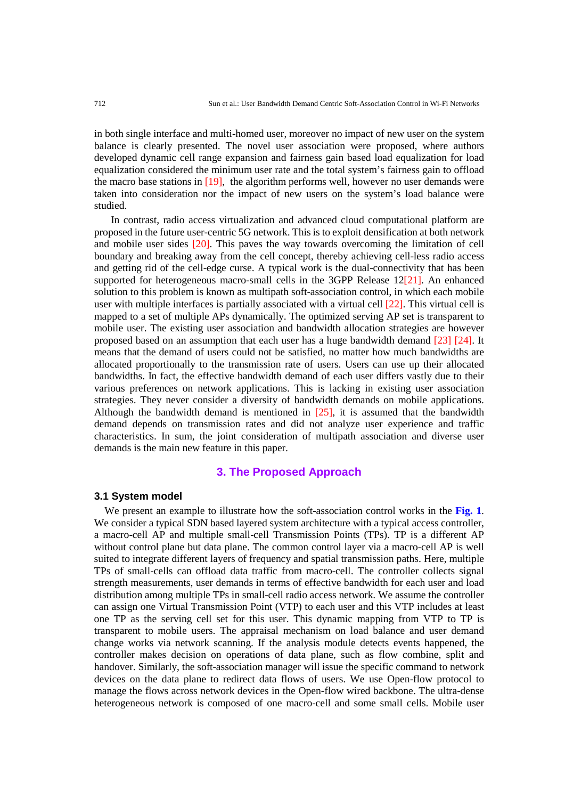in both single interface and multi-homed user, moreover no impact of new user on the system balance is clearly presented. The novel user association were proposed, where authors developed dynamic cell range expansion and fairness gain based load equalization for load equalization considered the minimum user rate and the total system's fairness gain to offload the macro base stations in [19], the algorithm performs well, however no user demands were taken into consideration nor the impact of new users on the system's load balance were studied.

In contrast, radio access virtualization and advanced cloud computational platform are proposed in the future user-centric 5G network. This is to exploit densification at both network and mobile user sides [20]. This paves the way towards overcoming the limitation of cell boundary and breaking away from the cell concept, thereby achieving cell-less radio access and getting rid of the cell-edge curse. A typical work is the dual-connectivity that has been supported for heterogeneous macro-small cells in the 3GPP Release 12[21]. An enhanced solution to this problem is known as multipath soft-association control, in which each mobile user with multiple interfaces is partially associated with a virtual cell [22]. This virtual cell is mapped to a set of multiple APs dynamically. The optimized serving AP set is transparent to mobile user. The existing user association and bandwidth allocation strategies are however proposed based on an assumption that each user has a huge bandwidth demand [23] [24]. It means that the demand of users could not be satisfied, no matter how much bandwidths are allocated proportionally to the transmission rate of users. Users can use up their allocated bandwidths. In fact, the effective bandwidth demand of each user differs vastly due to their various preferences on network applications. This is lacking in existing user association strategies. They never consider a diversity of bandwidth demands on mobile applications. Although the bandwidth demand is mentioned in  $[25]$ , it is assumed that the bandwidth demand depends on transmission rates and did not analyze user experience and traffic characteristics. In sum, the joint consideration of multipath association and diverse user demands is the main new feature in this paper.

# **3. The Proposed Approach**

#### **3.1 System model**

We present an example to illustrate how the soft-association control works in the **Fig. 1**. We consider a typical SDN based layered system architecture with a typical access controller, a macro-cell AP and multiple small-cell Transmission Points (TPs). TP is a different AP without control plane but data plane. The common control layer via a macro-cell AP is well suited to integrate different layers of frequency and spatial transmission paths. Here, multiple TPs of small-cells can offload data traffic from macro-cell. The controller collects signal strength measurements, user demands in terms of effective bandwidth for each user and load distribution among multiple TPs in small-cell radio access network. We assume the controller can assign one Virtual Transmission Point (VTP) to each user and this VTP includes at least one TP as the serving cell set for this user. This dynamic mapping from VTP to TP is transparent to mobile users. The appraisal mechanism on load balance and user demand change works via network scanning. If the analysis module detects events happened, the controller makes decision on operations of data plane, such as flow combine, split and handover. Similarly, the soft-association manager will issue the specific command to network devices on the data plane to redirect data flows of users. We use Open-flow protocol to manage the flows across network devices in the Open-flow wired backbone. The ultra-dense heterogeneous network is composed of one macro-cell and some small cells. Mobile user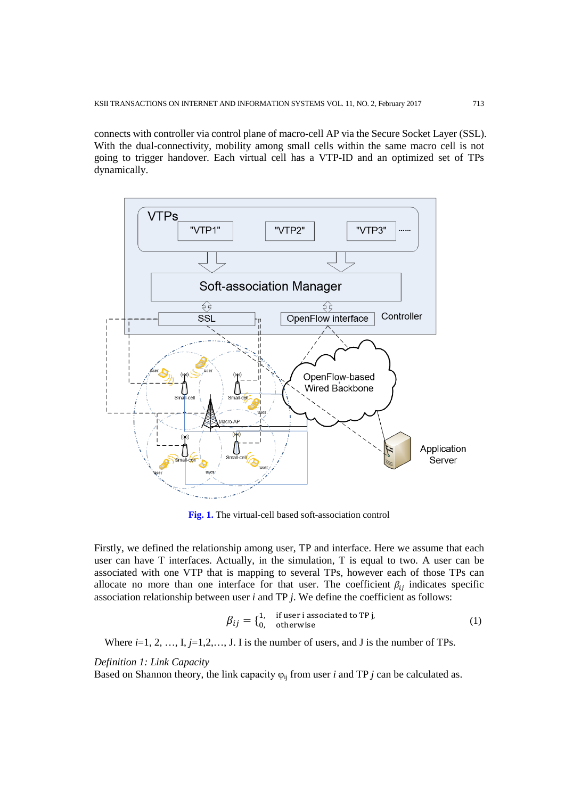connects with controller via control plane of macro-cell AP via the Secure Socket Layer (SSL). With the dual-connectivity, mobility among small cells within the same macro cell is not going to trigger handover. Each virtual cell has a VTP-ID and an optimized set of TPs dynamically.



**Fig. 1.** The virtual-cell based soft-association control

Firstly, we defined the relationship among user, TP and interface. Here we assume that each user can have T interfaces. Actually, in the simulation, T is equal to two. A user can be associated with one VTP that is mapping to several TPs, however each of those TPs can allocate no more than one interface for that user. The coefficient  $\beta_{ij}$  indicates specific association relationship between user *i* and TP *j*. We define the coefficient as follows:

$$
\beta_{ij} = \begin{cases} 1, & \text{if user is associated to TP } j, \\ 0, & \text{otherwise} \end{cases}
$$
 (1)

Where  $i=1, 2, ..., I, j=1,2,..., J$ . I is the number of users, and J is the number of TPs.

*Definition 1: Link Capacity*

Based on Shannon theory, the link capacity  $\varphi_{ij}$  from user *i* and TP *j* can be calculated as.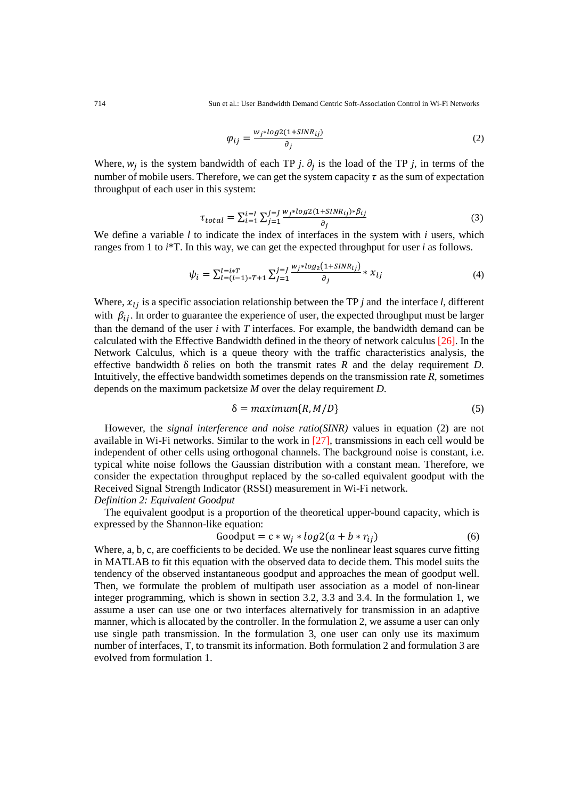714 Sun et al.: User Bandwidth Demand Centric Soft-Association Control in Wi-Fi Networks

$$
\varphi_{ij} = \frac{w_j * log2(1 + SINR_{ij})}{\partial_j} \tag{2}
$$

Where,  $w_i$  is the system bandwidth of each TP *j*.  $\partial_i$  is the load of the TP *j*, in terms of the number of mobile users. Therefore, we can get the system capacity  $\tau$  as the sum of expectation throughput of each user in this system:

$$
\tau_{total} = \sum_{i=1}^{i=I} \sum_{j=1}^{j=J} \frac{w_j * log2(1+SINR_{ij}) * \beta_{ij}}{\partial_j}
$$
(3)

We define a variable *l* to indicate the index of interfaces in the system with *i* users, which ranges from 1 to *i*\*T. In this way, we can get the expected throughput for user *i* as follows.

$$
\psi_i = \sum_{l=(i-1)*T+1}^{l=i*T} \sum_{j=1}^{j=J} \frac{w_j * log_2(1+SINR_{lj})}{\partial_j} * x_{lj}
$$
\n(4)

Where,  $x_{1i}$  is a specific association relationship between the TP *j* and the interface *l*, different with  $\beta_{ij}$ . In order to guarantee the experience of user, the expected throughput must be larger than the demand of the user *i* with *T* interfaces. For example, the bandwidth demand can be calculated with the Effective Bandwidth defined in the theory of network calculus [26]. In the Network Calculus, which is a queue theory with the traffic characteristics analysis, the effective bandwidth  $\delta$  relies on both the transmit rates  $R$  and the delay requirement  $D$ . Intuitively, the effective bandwidth sometimes depends on the transmission rate *R*, sometimes depends on the maximum packetsize *M* over the delay requirement *D*.

$$
\delta = maximum\{R, M/D\} \tag{5}
$$

However, the *signal interference and noise ratio(SINR)* values in equation (2) are not available in Wi-Fi networks. Similar to the work in [27], transmissions in each cell would be independent of other cells using orthogonal channels. The background noise is constant, i.e. typical white noise follows the Gaussian distribution with a constant mean. Therefore, we consider the expectation throughput replaced by the so-called equivalent goodput with the Received Signal Strength Indicator (RSSI) measurement in Wi-Fi network.

# *Definition 2: Equivalent Goodput*

The equivalent goodput is a proportion of the theoretical upper-bound capacity, which is expressed by the Shannon-like equation:

$$
Goodput = c * w_j * log2(a + b * r_{ij})
$$
\n(6)

Where, a, b, c, are coefficients to be decided. We use the nonlinear least squares curve fitting in MATLAB to fit this equation with the observed data to decide them. This model suits the tendency of the observed instantaneous goodput and approaches the mean of goodput well. Then, we formulate the problem of multipath user association as a model of non-linear integer programming, which is shown in section 3.2, 3.3 and 3.4. In the formulation 1, we assume a user can use one or two interfaces alternatively for transmission in an adaptive manner, which is allocated by the controller. In the formulation 2, we assume a user can only use single path transmission. In the formulation 3, one user can only use its maximum number of interfaces, T, to transmit its information. Both formulation 2 and formulation 3 are evolved from formulation 1.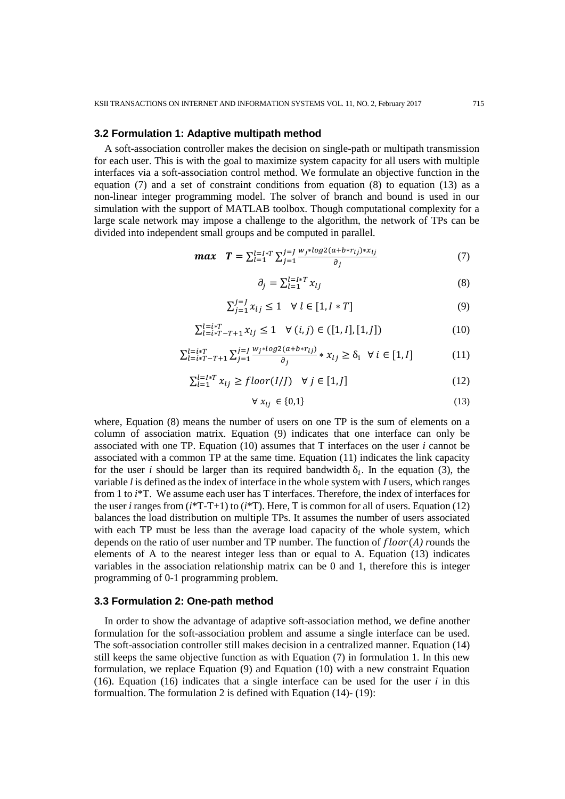# **3.2 Formulation 1: Adaptive multipath method**

A soft-association controller makes the decision on single-path or multipath transmission for each user. This is with the goal to maximize system capacity for all users with multiple interfaces via a soft-association control method. We formulate an objective function in the equation  $(7)$  and a set of constraint conditions from equation  $(8)$  to equation  $(13)$  as a non-linear integer programming model. The solver of branch and bound is used in our simulation with the support of MATLAB toolbox. Though computational complexity for a large scale network may impose a challenge to the algorithm, the network of TPs can be divided into independent small groups and be computed in parallel.

$$
max \tT = \sum_{l=1}^{l=I*T} \sum_{j=1}^{j=J} \frac{w_j * log2(a + b * r_{lj}) * x_{lj}}{\partial_j}
$$
(7)

$$
\partial_j = \sum_{l=1}^{l=l*T} x_{lj} \tag{8}
$$

$$
\sum_{j=1}^{j=J} x_{lj} \le 1 \quad \forall \ l \in [1, I * T]
$$
\n
$$
(9)
$$

$$
\sum_{l=i*T-T+1}^{l=i*T} x_{lj} \le 1 \quad \forall (i,j) \in ([1,I],[1,J]) \tag{10}
$$

$$
\sum_{l=i*T-T+1}^{l=i*T} \sum_{j=1}^{j=j} \frac{w_j * log2(a+b*r_{lj})}{\partial_j} * x_{lj} \ge \delta_i \quad \forall \ i \in [1, I]
$$
 (11)

$$
\sum_{l=1}^{l=l*T} x_{lj} \geq floor(I/J) \quad \forall j \in [1, J]
$$
\n(12)

$$
\forall x_{lj} \in \{0,1\} \tag{13}
$$

where, Equation (8) means the number of users on one TP is the sum of elements on a column of association matrix. Equation (9) indicates that one interface can only be associated with one TP. Equation (10) assumes that T interfaces on the user *i* cannot be associated with a common TP at the same time. Equation (11) indicates the link capacity for the user *i* should be larger than its required bandwidth  $\delta_i$ . In the equation (3), the variable *l* is defined as the index of interface in the whole system with *I* users, which ranges from 1 to *i*\*T. We assume each user has T interfaces. Therefore, the index of interfaces for the user *i* ranges from (*i*\*T-T+1) to (*i*\*T). Here, T is common for all of users. Equation (12) balances the load distribution on multiple TPs. It assumes the number of users associated with each TP must be less than the average load capacity of the whole system, which depends on the ratio of user number and TP number. The function of  $floor(A)$  rounds the elements of A to the nearest integer less than or equal to A. Equation (13) indicates variables in the association relationship matrix can be 0 and 1, therefore this is integer programming of 0-1 programming problem.

#### **3.3 Formulation 2: One-path method**

In order to show the advantage of adaptive soft-association method, we define another formulation for the soft-association problem and assume a single interface can be used. The soft-association controller still makes decision in a centralized manner. Equation (14) still keeps the same objective function as with Equation (7) in formulation 1. In this new formulation, we replace Equation (9) and Equation (10) with a new constraint Equation (16). Equation (16) indicates that a single interface can be used for the user  $i$  in this formualtion. The formulation 2 is defined with Equation (14)- (19):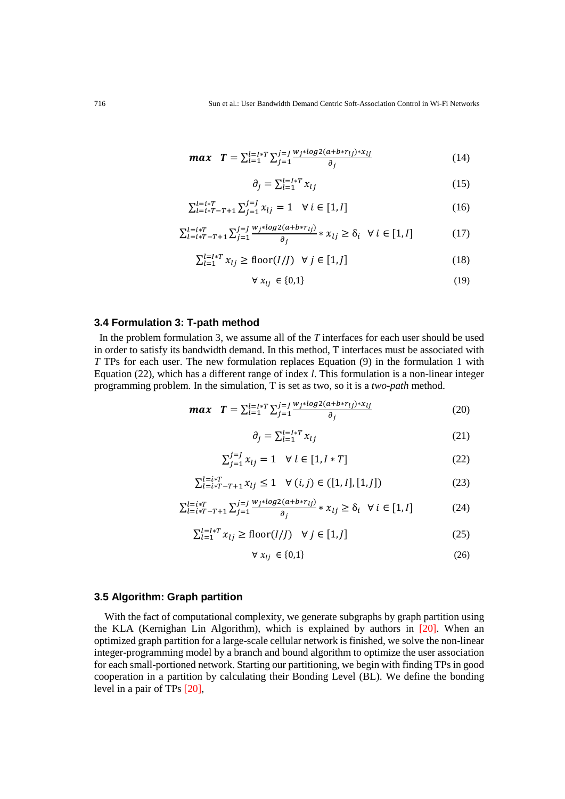$$
max \t T = \sum_{l=1}^{l=I*T} \sum_{j=1}^{j=J} \frac{w_j * log2(a + b * r_{lj}) * x_{lj}}{\partial_j}
$$
 (14)

$$
\partial_j = \sum_{l=1}^{l=l*T} x_{lj} \tag{15}
$$

$$
\sum_{l=i*T-T+1}^{l=i*T} \sum_{j=1}^{j=J} \chi_{lj} = 1 \quad \forall \ i \in [1, I]
$$
 (16)

$$
\sum_{l=i*T-T+1}^{l=i*T} \sum_{j=1}^{j=J} \frac{w_j * log2(a+b*r_{lj})}{\partial_j} * x_{lj} \ge \delta_i \quad \forall \ i \in [1,1]
$$
 (17)

$$
\sum_{l=1}^{l=1*T} x_{lj} \ge \text{floor}(I/J) \ \forall j \in [1, J]
$$
\n(18)

$$
\forall x_{lj} \in \{0,1\} \tag{19}
$$

# **3.4 Formulation 3: T-path method**

In the problem formulation 3, we assume all of the *T* interfaces for each user should be used in order to satisfy its bandwidth demand. In this method, T interfaces must be associated with *T* TPs for each user. The new formulation replaces Equation (9) in the formulation 1 with Equation (22), which has a different range of index *l*. This formulation is a non-linear integer programming problem. In the simulation, T is set as two, so it is a *two-path* method.

$$
max \t T = \sum_{l=1}^{l=I*T} \sum_{j=1}^{j=J} \frac{w_j * log2(a+b*r_{lj}) * x_{lj}}{\partial_j}
$$
 (20)

$$
\partial_j = \sum_{l=1}^{l=I*T} x_{lj} \tag{21}
$$

$$
\sum_{j=1}^{j=J} x_{lj} = 1 \quad \forall \ l \in [1, I * T]
$$
 (22)

$$
\sum_{l=i*T-T+1}^{l=i*T} x_{lj} \le 1 \quad \forall (i,j) \in ([1,I],[1,J]) \tag{23}
$$

$$
\sum_{l=i*T-T+1}^{l=i*T} \sum_{j=1}^{j=J} \frac{w_j * log2(a+b*r_{lj})}{\partial_j} * x_{lj} \ge \delta_i \quad \forall \ i \in [1, I]
$$
 (24)

$$
\sum_{l=1}^{l=l*T} x_{lj} \ge \text{floor}(I/J) \quad \forall \ j \in [1, J]
$$
\n
$$
(25)
$$

$$
\forall x_{lj} \in \{0,1\} \tag{26}
$$

# **3.5 Algorithm: Graph partition**

With the fact of computational complexity, we generate subgraphs by graph partition using the KLA (Kernighan Lin Algorithm), which is explained by authors in [20]. When an optimized graph partition for a large-scale cellular network is finished, we solve the non-linear integer-programming model by a branch and bound algorithm to optimize the user association for each small-portioned network. Starting our partitioning, we begin with finding TPs in good cooperation in a partition by calculating their Bonding Level (BL). We define the bonding level in a pair of TPs [20],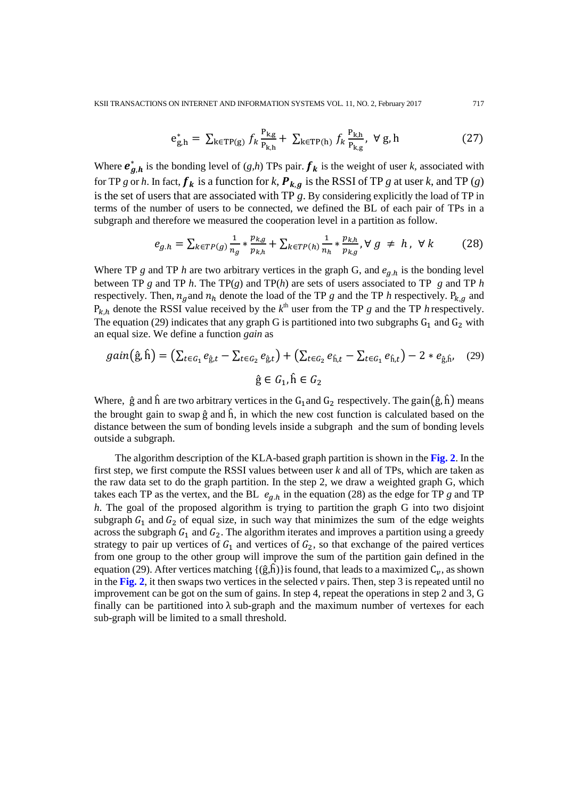$$
e_{g,h}^* = \sum_{k \in TP(g)} f_k \frac{P_{k,g}}{P_{k,h}} + \sum_{k \in TP(h)} f_k \frac{P_{k,h}}{P_{k,g}}, \ \forall g,h
$$
 (27)

Where  $e_{g,h}^*$  is the bonding level of  $(g,h)$  TPs pair.  $f_k$  is the weight of user *k*, associated with for TP *g* or *h*. In fact,  $f_k$  is a function for *k*,  $P_{k,q}$  is the RSSI of TP *g* at user *k*, and TP (*g*) is the set of users that are associated with TP *g*. By considering explicitly the load of TP in terms of the number of users to be connected, we defined the BL of each pair of TPs in a subgraph and therefore we measured the cooperation level in a partition as follow.

$$
e_{g,h} = \sum_{k \in TP(g)} \frac{1}{n_g} * \frac{p_{k,g}}{p_{k,h}} + \sum_{k \in TP(h)} \frac{1}{n_h} * \frac{p_{k,h}}{p_{k,g}}, \forall g \neq h, \forall k
$$
 (28)

Where TP *g* and TP *h* are two arbitrary vertices in the graph G, and  $e_{a,h}$  is the bonding level between TP *g* and TP *h*. The TP(*g*) and TP(*h*) are sets of users associated to TP *g* and TP *h* respectively. Then,  $n_a$  and  $n_h$  denote the load of the TP g and the TP h respectively.  $P_{k,a}$  and  $P_{k,h}$  denote the RSSI value received by the  $k^{\text{th}}$  user from the TP *g* and the TP *h* respectively. The equation (29) indicates that any graph G is partitioned into two subgraphs  $G_1$  and  $G_2$  with an equal size. We define a function *gain* as

$$
gain(\hat{g}, \hat{h}) = (\sum_{t \in G_1} e_{\hat{g},t} - \sum_{t \in G_2} e_{\hat{g},t}) + (\sum_{t \in G_2} e_{\hat{h},t} - \sum_{t \in G_1} e_{\hat{h},t}) - 2 * e_{\hat{g},\hat{h}},
$$
(29)  

$$
\hat{g} \in G_1, \hat{h} \in G_2
$$

Where,  $\hat{g}$  and  $\hat{h}$  are two arbitrary vertices in the G<sub>1</sub> and G<sub>2</sub> respectively. The gain $(\hat{g}, \hat{h})$  means the brought gain to swap  $\hat{g}$  and  $\hat{h}$ , in which the new cost function is calculated based on the distance between the sum of bonding levels inside a subgraph and the sum of bonding levels outside a subgraph.

The algorithm description of the KLA-based graph partition is shown in the **Fig. 2**. In the first step, we first compute the RSSI values between user *k* and all of TPs, which are taken as the raw data set to do the graph partition. In the step 2, we draw a weighted graph G, which takes each TP as the vertex, and the BL  $e_{g,h}$  in the equation (28) as the edge for TP *g* and TP *h*. The goal of the proposed algorithm is trying to partition the graph G into two disjoint subgraph  $G_1$  and  $G_2$  of equal size, in such way that minimizes the sum of the edge weights across the subgraph  $G_1$  and  $G_2$ . The algorithm iterates and improves a partition using a greedy strategy to pair up vertices of  $G_1$  and vertices of  $G_2$ , so that exchange of the paired vertices from one group to the other group will improve the sum of the partition gain defined in the equation (29). After vertices matching  $\{(\hat{g},\hat{h})\}$ is found, that leads to a maximized  $C_n$ , as shown in the **Fig. 2**, it then swaps two vertices in the selected  $\nu$  pairs. Then, step 3 is repeated until no improvement can be got on the sum of gains. In step 4, repeat the operations in step 2 and 3, G finally can be partitioned into  $\lambda$  sub-graph and the maximum number of vertexes for each sub-graph will be limited to a small threshold.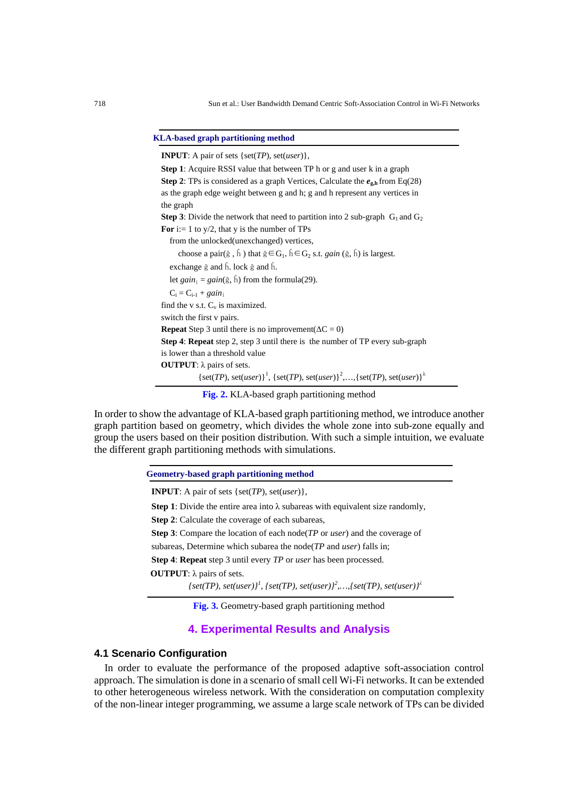#### **KLA-based graph partitioning method**

**Step 1**: Acquire RSSI value that between TP h or g and user k in a graph **Step 2**: TPs is considered as a graph Vertices, Calculate the  $e_{\varrho,h}$  from Eq(28) as the graph edge weight between g and h; g and h represent any vertices in the graph **Step 3**: Divide the network that need to partition into 2 sub-graph  $G_1$  and  $G_2$ **For** i:= 1 to  $y/2$ , that y is the number of TPs from the unlocked(unexchanged) vertices, choose a pair( $\hat{g}$ ,  $\hat{h}$ ) that  $\hat{g} \in G_1$ ,  $\hat{h} \in G_2$  s.t. *gain* ( $\hat{g}$ ,  $\hat{h}$ ) is largest. exchange ĝ and ĥ. lock ĝ and ĥ. let  $gain_i = gain(\hat{g}, \hat{h})$  from the formula(29).  $C_i = C_{i-1} + gain_i$ find the v s.t.  $C_v$  is maximized. switch the first v pairs. **Repeat** Step 3 until there is no improvement( $\Delta C = 0$ ) **Step 4**: **Repeat** step 2, step 3 until there is the number of TP every sub-graph is lower than a threshold value **INPUT**: A pair of sets {set(*TP*), set(*user*)}, **OUTPUT**: λ pairs of sets.  ${\{set(TP), set(user)\}}^1$ ,  ${\{set(TP), set(user)\}}^2$ , ..., ${\{set(TP), set(user)\}}^2$ 

**Fig. 2.** KLA-based graph partitioning method

In order to show the advantage of KLA-based graph partitioning method, we introduce another graph partition based on geometry, which divides the whole zone into sub-zone equally and group the users based on their position distribution. With such a simple intuition, we evaluate the different graph partitioning methods with simulations.

**Geometry-based graph partitioning method**

**INPUT**: A pair of sets {set(*TP*), set(*user*)},

**Step 1**: Divide the entire area into  $\lambda$  subareas with equivalent size randomly,

**Step 2**: Calculate the coverage of each subareas,

**Step 3**: Compare the location of each node(*TP* or *user*) and the coverage of

subareas, Determine which subarea the node(*TP* and *user*) falls in;

**Step 4**: **Repeat** step 3 until every *TP* or *user* has been processed.

**OUTPUT**: λ pairs of sets.

 $\{set(TP), set(user)\}^1$ ,  $\{set(TP), set(user)\}^2$ , ..., $\{set(TP), set(user)\}^2$ 

**Fig. 3.** Geometry-based graph partitioning method

# **4. Experimental Results and Analysis**

# **4.1 Scenario Configuration**

In order to evaluate the performance of the proposed adaptive soft-association control approach. The simulation is done in a scenario of small cell Wi-Fi networks. It can be extended to other heterogeneous wireless network. With the consideration on computation complexity of the non-linear integer programming, we assume a large scale network of TPs can be divided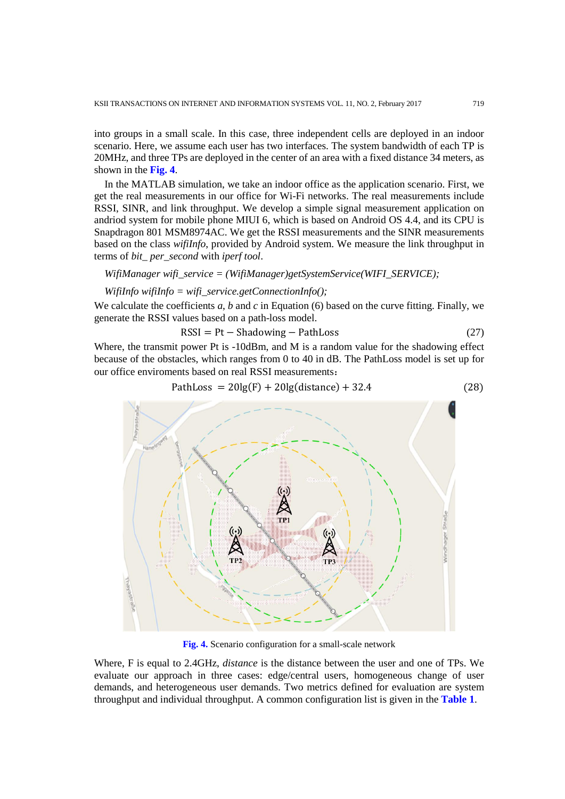into groups in a small scale. In this case, three independent cells are deployed in an indoor scenario. Here, we assume each user has two interfaces. The system bandwidth of each TP is 20MHz, and three TPs are deployed in the center of an area with a fixed distance 34 meters, as shown in the **Fig. 4**.

In the MATLAB simulation, we take an indoor office as the application scenario. First, we get the real measurements in our office for Wi-Fi networks. The real measurements include RSSI, SINR, and link throughput. We develop a simple signal measurement application on andriod system for mobile phone MIUI 6, which is based on Android OS 4.4, and its CPU is Snapdragon 801 MSM8974AC. We get the RSSI measurements and the SINR measurements based on the class *wifiInfo*, provided by Android system. We measure the link throughput in terms of *bit\_ per\_second* with *iperf tool*.

#### *WifiManager wifi\_service = (WifiManager)getSystemService(WIFI\_SERVICE);*

#### *WifiInfo wifiInfo = wifi\_service.getConnectionInfo();*

We calculate the coefficients *a*, *b* and *c* in Equation (6) based on the curve fitting. Finally, we generate the RSSI values based on a path-loss model.

$$
RSSI = Pt - Shadowing - PathLoss
$$
 (27)

Where, the transmit power Pt is -10dBm, and M is a random value for the shadowing effect because of the obstacles, which ranges from 0 to 40 in dB. The PathLoss model is set up for our office enviroments based on real RSSI measurements:

$$
PathLoss = 20lg(F) + 20lg(distance) + 32.4
$$
\n(28)



**Fig. 4.** Scenario configuration for a small-scale network

Where, F is equal to 2.4GHz, *distance* is the distance between the user and one of TPs. We evaluate our approach in three cases: edge/central users, homogeneous change of user demands, and heterogeneous user demands. Two metrics defined for evaluation are system throughput and individual throughput. A common configuration list is given in the **Table 1**.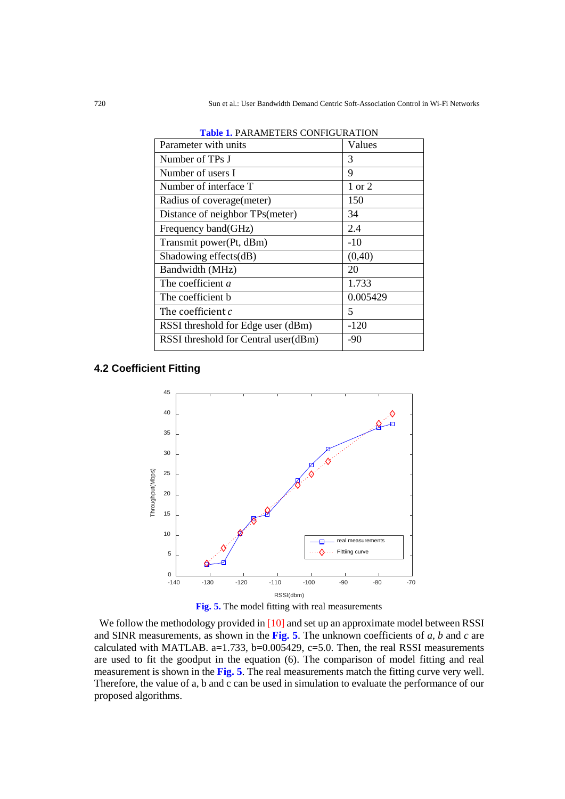| <b>THUR I:</b> I THY IMETERD COTTITOUN ITIOT |          |  |  |  |
|----------------------------------------------|----------|--|--|--|
| Parameter with units                         | Values   |  |  |  |
| Number of TPs J                              | 3        |  |  |  |
| Number of users I                            | 9        |  |  |  |
| Number of interface T                        | 1 or 2   |  |  |  |
| Radius of coverage (meter)                   | 150      |  |  |  |
| Distance of neighbor TPs(meter)              | 34       |  |  |  |
| Frequency band(GHz)                          | 2.4      |  |  |  |
| Transmit power(Pt, dBm)                      | $-10$    |  |  |  |
| Shadowing effects(dB)                        | (0, 40)  |  |  |  |
| Bandwidth (MHz)                              | 20       |  |  |  |
| The coefficient a                            | 1.733    |  |  |  |
| The coefficient b                            | 0.005429 |  |  |  |
| The coefficient c                            | 5        |  |  |  |
| RSSI threshold for Edge user (dBm)           | $-120$   |  |  |  |
| RSSI threshold for Central user(dBm)         | -90      |  |  |  |
|                                              |          |  |  |  |

|  |  | <b>Table 1. PARAMETERS CONFIGURATION</b> |  |  |
|--|--|------------------------------------------|--|--|
|--|--|------------------------------------------|--|--|

# **4.2 Coefficient Fitting**



**Fig. 5.** The model fitting with real measurements

We follow the methodology provided in [10] and set up an approximate model between RSSI and SINR measurements, as shown in the **Fig. 5**. The unknown coefficients of *a*, *b* and *c* are calculated with MATLAB.  $a=1.733$ ,  $b=0.005429$ ,  $c=5.0$ . Then, the real RSSI measurements are used to fit the goodput in the equation (6). The comparison of model fitting and real measurement is shown in the **Fig. 5**. The real measurements match the fitting curve very well. Therefore, the value of a, b and c can be used in simulation to evaluate the performance of our proposed algorithms.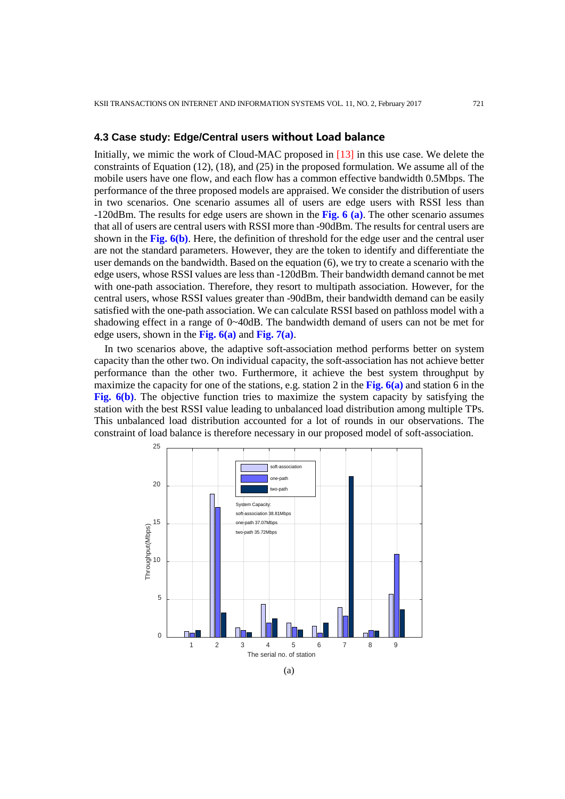# **4.3 Case study: Edge/Central users without Load balance**

Initially, we mimic the work of Cloud-MAC proposed in [13] in this use case. We delete the constraints of Equation (12), (18), and (25) in the proposed formulation. We assume all of the mobile users have one flow, and each flow has a common effective bandwidth 0.5Mbps. The performance of the three proposed models are appraised. We consider the distribution of users in two scenarios. One scenario assumes all of users are edge users with RSSI less than -120dBm. The results for edge users are shown in the **Fig. 6 (a)**. The other scenario assumes that all of users are central users with RSSI more than -90dBm. The results for central users are shown in the **Fig. 6(b)**. Here, the definition of threshold for the edge user and the central user are not the standard parameters. However, they are the token to identify and differentiate the user demands on the bandwidth. Based on the equation (6), we try to create a scenario with the edge users, whose RSSI values are less than -120dBm. Their bandwidth demand cannot be met with one-path association. Therefore, they resort to multipath association. However, for the central users, whose RSSI values greater than -90dBm, their bandwidth demand can be easily satisfied with the one-path association. We can calculate RSSI based on pathloss model with a shadowing effect in a range of 0~40dB. The bandwidth demand of users can not be met for edge users, shown in the **Fig. 6(a)** and **Fig. 7(a)**.

In two scenarios above, the adaptive soft-association method performs better on system capacity than the other two. On individual capacity, the soft-association has not achieve better performance than the other two. Furthermore, it achieve the best system throughput by maximize the capacity for one of the stations, e.g. station 2 in the **Fig. 6(a)** and station 6 in the **Fig. 6(b)**. The objective function tries to maximize the system capacity by satisfying the station with the best RSSI value leading to unbalanced load distribution among multiple TPs. This unbalanced load distribution accounted for a lot of rounds in our observations. The constraint of load balance is therefore necessary in our proposed model of soft-association.

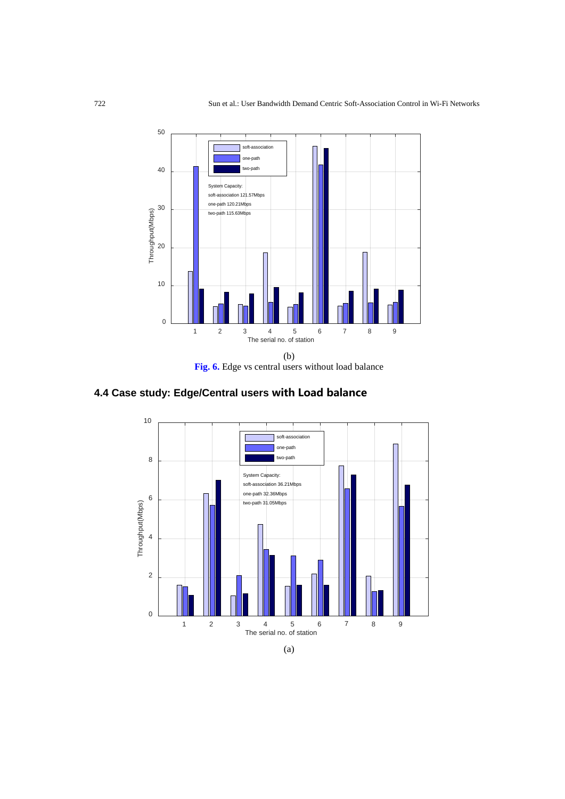

**Fig. 6.** Edge vs central users without load balance



# **4.4 Case study: Edge/Central users with Load balance**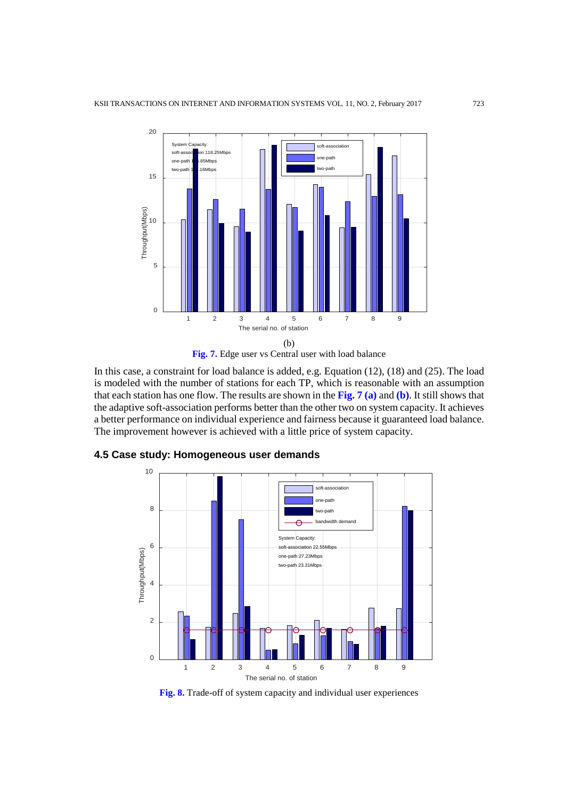

**Fig. 7.** Edge user vs Central user with load balance

In this case, a constraint for load balance is added, e.g. Equation (12), (18) and (25). The load is modeled with the number of stations for each TP, which is reasonable with an assumption that each station has one flow. The results are shown in the **Fig. 7 (a)** and **(b)**. It still shows that the adaptive soft-association performs better than the other two on system capacity. It achieves a better performance on individual experience and fairness because it guaranteed load balance. The improvement however is achieved with a little price of system capacity.



# **4.5 Case study: Homogeneous user demands**

**Fig. 8.** Trade-off of system capacity and individual user experiences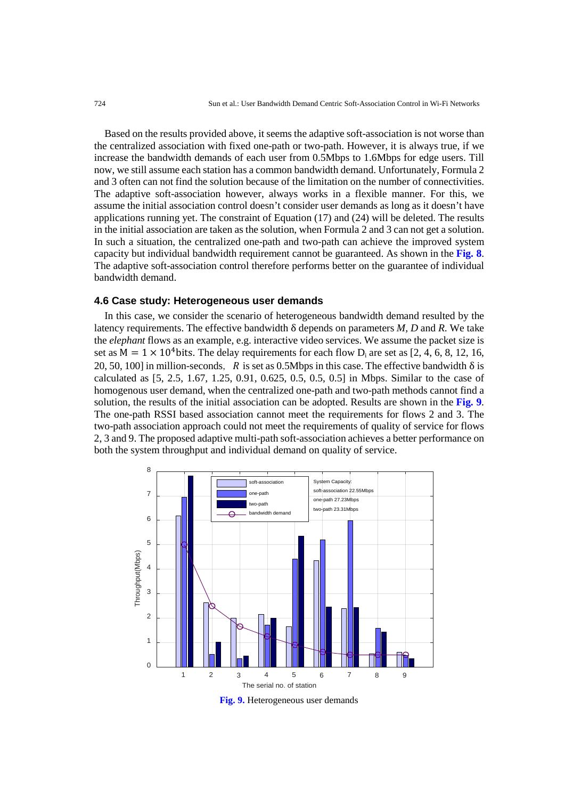Based on the results provided above, it seems the adaptive soft-association is not worse than the centralized association with fixed one-path or two-path. However, it is always true, if we increase the bandwidth demands of each user from 0.5Mbps to 1.6Mbps for edge users. Till now, we still assume each station has a common bandwidth demand. Unfortunately, Formula 2 and 3 often can not find the solution because of the limitation on the number of connectivities. The adaptive soft-association however, always works in a flexible manner. For this, we assume the initial association control doesn't consider user demands as long as it doesn't have applications running yet. The constraint of Equation (17) and (24) will be deleted. The results in the initial association are taken as the solution, when Formula 2 and 3 can not get a solution. In such a situation, the centralized one-path and two-path can achieve the improved system capacity but individual bandwidth requirement cannot be guaranteed. As shown in the **Fig. 8**. The adaptive soft-association control therefore performs better on the guarantee of individual bandwidth demand.

#### **4.6 Case study: Heterogeneous user demands**

In this case, we consider the scenario of heterogeneous bandwidth demand resulted by the latency requirements. The effective bandwidth δ depends on parameters *M, D* and *R*. We take the *elephant* flows as an example, e.g. interactive video services. We assume the packet size is set as  $M = 1 \times 10^4$  bits. The delay requirements for each flow  $D_i$  are set as [2, 4, 6, 8, 12, 16, 20, 50, 100] in million-seconds, R is set as 0.5Mbps in this case. The effective bandwidth  $\delta$  is calculated as [5, 2.5, 1.67, 1.25, 0.91, 0.625, 0.5, 0.5, 0.5] in Mbps. Similar to the case of homogenous user demand, when the centralized one-path and two-path methods cannot find a solution, the results of the initial association can be adopted. Results are shown in the **Fig. 9**. The one-path RSSI based association cannot meet the requirements for flows 2 and 3. The two-path association approach could not meet the requirements of quality of service for flows 2, 3 and 9. The proposed adaptive multi-path soft-association achieves a better performance on both the system throughput and individual demand on quality of service.



**Fig. 9.** Heterogeneous user demands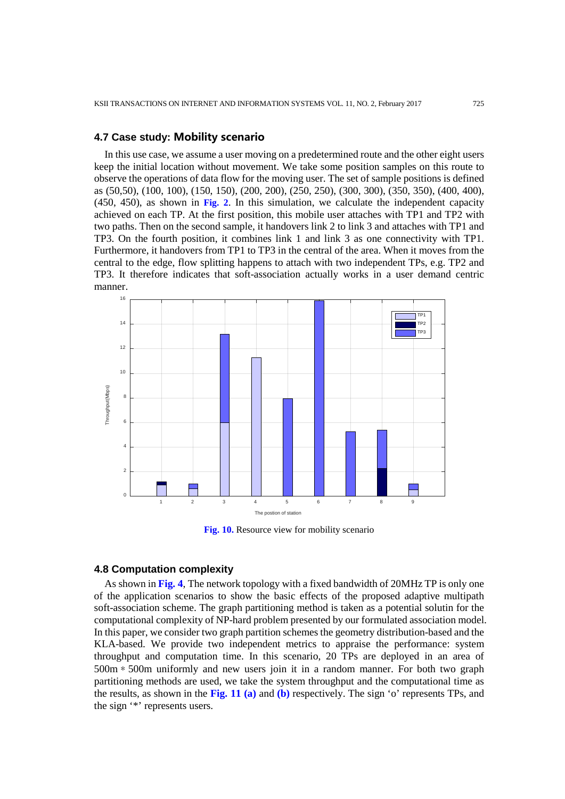# **4.7 Case study: Mobility scenario**

In this use case, we assume a user moving on a predetermined route and the other eight users keep the initial location without movement. We take some position samples on this route to observe the operations of data flow for the moving user. The set of sample positions is defined as (50,50), (100, 100), (150, 150), (200, 200), (250, 250), (300, 300), (350, 350), (400, 400), (450, 450), as shown in **Fig. 2**. In this simulation, we calculate the independent capacity achieved on each TP. At the first position, this mobile user attaches with TP1 and TP2 with two paths. Then on the second sample, it handovers link 2 to link 3 and attaches with TP1 and TP3. On the fourth position, it combines link 1 and link 3 as one connectivity with TP1. Furthermore, it handovers from TP1 to TP3 in the central of the area. When it moves from the central to the edge, flow splitting happens to attach with two independent TPs, e.g. TP2 and TP3. It therefore indicates that soft-association actually works in a user demand centric manner.



**Fig. 10.** Resource view for mobility scenario

#### **4.8 Computation complexity**

As shown in **Fig. 4**, The network topology with a fixed bandwidth of 20MHz TP is only one of the application scenarios to show the basic effects of the proposed adaptive multipath soft-association scheme. The graph partitioning method is taken as a potential solutin for the computational complexity of NP-hard problem presented by our formulated association model. In this paper, we consider two graph partition schemes the geometry distribution-based and the KLA-based. We provide two independent metrics to appraise the performance: system throughput and computation time. In this scenario, 20 TPs are deployed in an area of 500m\*500m uniformly and new users join it in a random manner. For both two graph partitioning methods are used, we take the system throughput and the computational time as the results, as shown in the **Fig. 11 (a)** and **(b)** respectively. The sign 'o' represents TPs, and the sign '\*' represents users.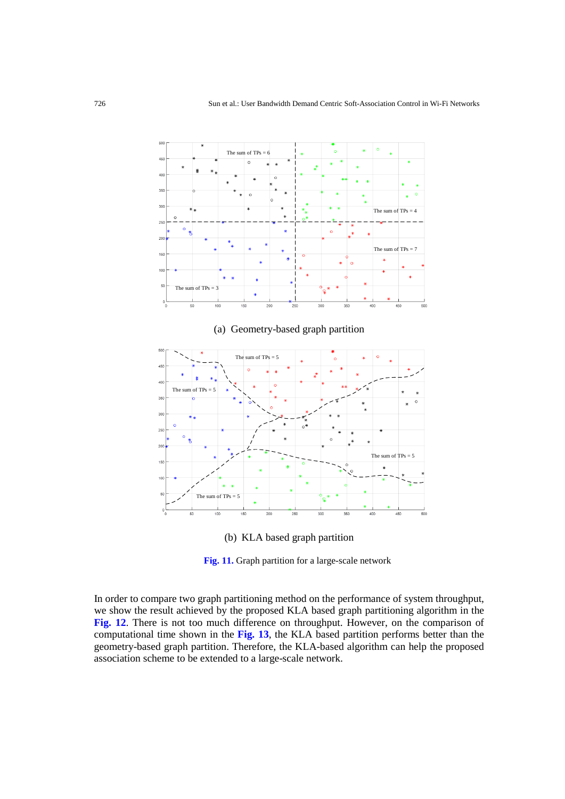

(b) KLA based graph partition

**Fig. 11.** Graph partition for a large-scale network

In order to compare two graph partitioning method on the performance of system throughput, we show the result achieved by the proposed KLA based graph partitioning algorithm in the **Fig. 12**. There is not too much difference on throughput. However, on the comparison of computational time shown in the **Fig. 13**, the KLA based partition performs better than the geometry-based graph partition. Therefore, the KLA-based algorithm can help the proposed association scheme to be extended to a large-scale network.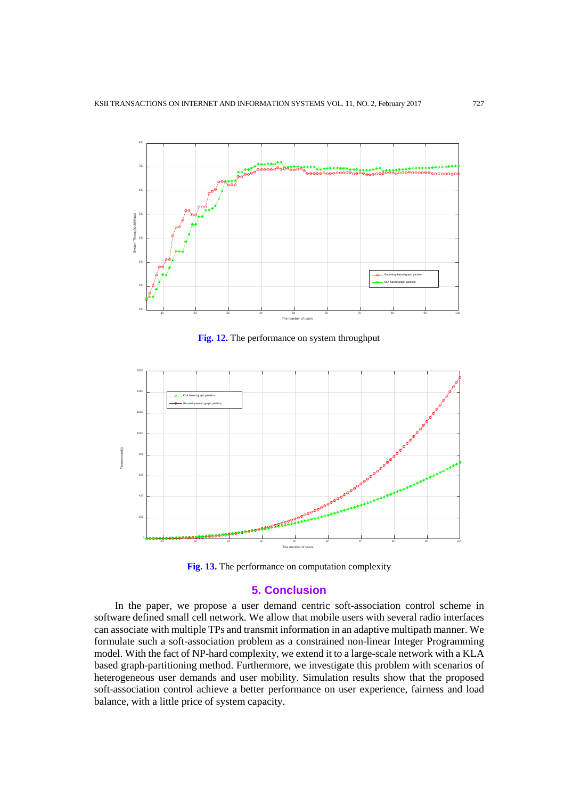

**Fig. 12.** The performance on system throughput





# **5. Conclusion**

In the paper, we propose a user demand centric soft-association control scheme in software defined small cell network. We allow that mobile users with several radio interfaces can associate with multiple TPs and transmit information in an adaptive multipath manner. We formulate such a soft-association problem as a constrained non-linear Integer Programming model. With the fact of NP-hard complexity, we extend it to a large-scale network with a KLA based graph-partitioning method. Furthermore, we investigate this problem with scenarios of heterogeneous user demands and user mobility. Simulation results show that the proposed soft-association control achieve a better performance on user experience, fairness and load balance, with a little price of system capacity.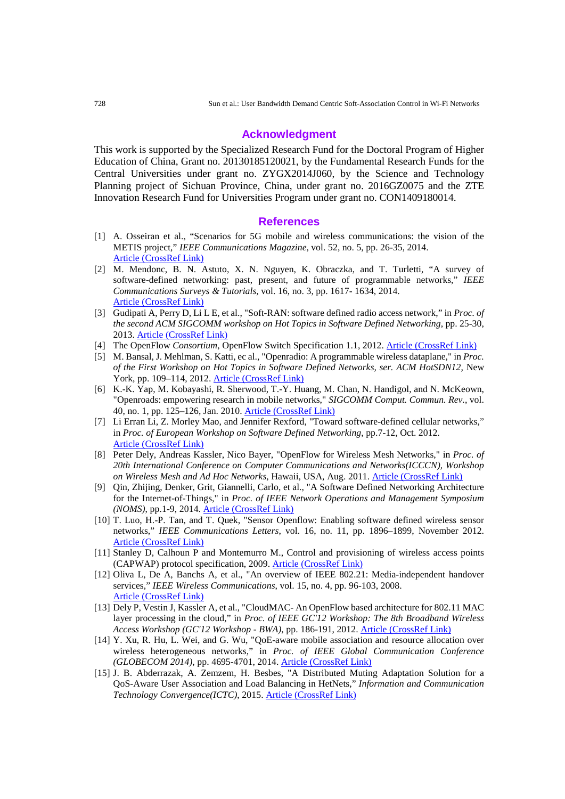#### **Acknowledgment**

This work is supported by the Specialized Research Fund for the Doctoral Program of Higher Education of China, Grant no. 20130185120021, by the Fundamental Research Funds for the Central Universities under grant no. ZYGX2014J060, by the Science and Technology Planning project of Sichuan Province, China, under grant no. 2016GZ0075 and the ZTE Innovation Research Fund for Universities Program under grant no. CON1409180014.

#### **References**

- [1] A. Osseiran et al., "Scenarios for 5G mobile and wireless communications: the vision of the METIS project," *IEEE Communications Magazine*, vol. 52, no. 5, pp. 26-35, 2014. [Article \(CrossRef Link\)](http://dx.doi.org/10.1109/MCOM.2014.6815890)
- [2] M. Mendonc, B. N. Astuto, X. N. Nguyen, K. Obraczka, and T. Turletti, "A survey of software-defined networking: past, present, and future of programmable networks," *IEEE Communications Surveys & Tutorials*, vol. 16, no. 3, pp. 1617- 1634, 2014. [Article \(CrossRef Link\)](http://dx.doi.org/doi:10.1109/SURV.2014.012214.00180)
- [3] Gudipati A, Perry D, Li L E, et al., "Soft-RAN: software defined radio access network," in *Proc. of the second ACM SIGCOMM workshop on Hot Topics in Software Defined Networking*, pp. 25-30, 2013[. Article \(CrossRef Link\)](http://dx.doi.org/doi:10.1145/2491185.2491207)
- [4] The OpenFlow *Consortium*, OpenFlow Switch Specification 1.1, 2012. **Article (CrossRef Link)**
- [5] M. Bansal, J. Mehlman, S. Katti, ec al., "Openradio: A programmable wireless dataplane," in *Proc. of the First Workshop on Hot Topics in Software Defined Networks, ser. ACM HotSDN12,* New York, pp. 109–114, 2012. [Article \(CrossRef Link\)](http://dx.doi.org/doi:10.1186/1687-1499-2014-172)
- [6] K.-K. Yap, M. Kobayashi, R. Sherwood, T.-Y. Huang, M. Chan, N. Handigol, and N. McKeown, "Openroads: empowering research in mobile networks," *SIGCOMM Comput. Commun. Rev.*, vol. 40, no. 1, pp. 125–126, Jan. 2010[. Article \(CrossRef Link\)](http://dx.doi.org/doi:10.1186/1687-1499-2012-259)
- [7] Li Erran Li, Z. Morley Mao, and Jennifer Rexford, "Toward software-defined cellular networks," in *Proc. of European Workshop on Software Defined Networking*, pp.7-12, Oct. 2012. [Article \(CrossRef Link\)](http://dx.doi.org/doi:10.1109/EWSDN.2012.28)
- [8] Peter Dely, Andreas Kassler, Nico Bayer, "OpenFlow for Wireless Mesh Networks," in *Proc. of 20th International Conference on Computer Communications and Networks(ICCCN), Workshop on Wireless Mesh and Ad Hoc Networks*, Hawaii, USA, Aug. 2011. [Article \(CrossRef Link\)](http://dx.doi.org/doi:10.1109/ICCCN.2011.6006100)
- [9] Qin, Zhijing, Denker, Grit, Giannelli, Carlo, et al., "A Software Defined Networking Architecture for the Internet-of-Things," in *Proc. of IEEE Network Operations and Management Symposium (NOMS)*, pp.1-9, 2014. [Article \(CrossRef Link\)](http://dx.doi.org/10.1109/NOMS.2014.6838365)
- [10] T. Luo, H.-P. Tan, and T. Quek, "Sensor Openflow: Enabling software defined wireless sensor networks," *IEEE Communications Letters*, vol. 16, no. 11, pp. 1896–1899, November 2012. [Article \(CrossRef Link\)](http://dx.doi.org/10.1109/LCOMM.2012.092812.121712)
- [11] Stanley D, Calhoun P and Montemurro M., Control and provisioning of wireless access points (CAPWAP) protocol specification, 2009. [Article \(CrossRef Link\)](https://tools.ietf.org/html/rfc5415)
- [12] Oliva L, De A, Banchs A, et al., "An overview of IEEE 802.21: Media-independent handover services," *IEEE Wireless Communications*, vol. 15, no. 4, pp. 96-103, 2008. [Article \(CrossRef Link\)](http://dx.doi.org/doi:10.1109/MWC.2008.4599227)
- [13] Dely P, Vestin J, Kassler A, et al., "CloudMAC- An OpenFlow based architecture for 802.11 MAC layer processing in the cloud," in *Proc. of IEEE GC'12 Workshop: The 8th Broadband Wireless Access Workshop (GC'12 Workshop - BWA)*, pp. 186-191, 2012. Article [\(CrossRef Link\)](http://dx.doi.org/10.1109/GLOCOMW.2012.6477567)
- [14] Y. Xu, R. Hu, L. Wei, and G. Wu, "QoE-aware mobile association and resource allocation over wireless heterogeneous networks," in *Proc. of IEEE Global Communication Conference (GLOBECOM 2014)*, pp. 4695-4701, 2014. [Article \(CrossRef Link\)](http://dx.doi.org/10.1109/GLOCOM.2014.7037549)
- [15] J. B. Abderrazak, A. Zemzem, H. Besbes, "A Distributed Muting Adaptation Solution for a QoS-Aware User Association and Load Balancing in HetNets," *Information and Communication Technology Convergence(ICTC)*, 2015. [Article \(CrossRef Link\)](http://dx.doi.org/10.1109/ICTC.2015.7354576)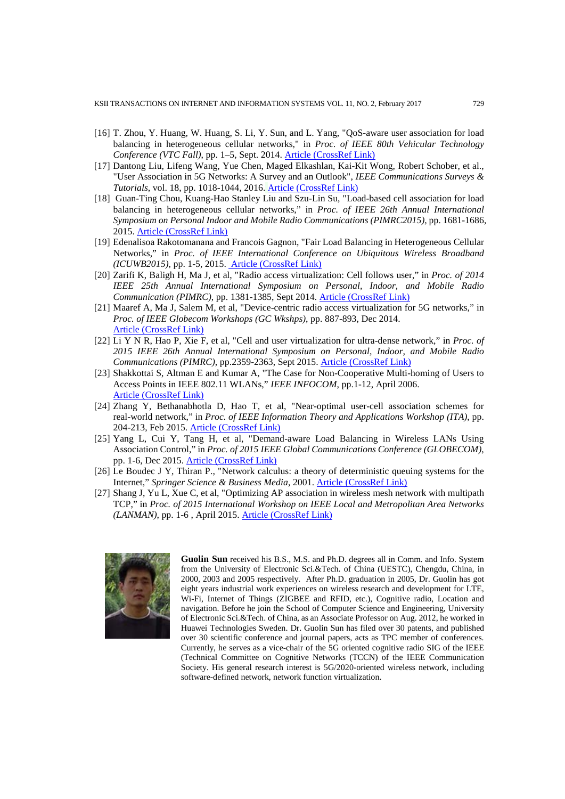KSII TRANSACTIONS ON INTERNET AND INFORMATION SYSTEMS VOL. 11, NO. 2, February 2017 729

- [16] T. Zhou, Y. Huang, W. Huang, S. Li, Y. Sun, and L. Yang, "QoS-aware user association for load balancing in heterogeneous cellular networks," in *Proc. of IEEE 80th Vehicular Technology Conference (VTC Fall)*, pp. 1–5, Sept. 2014. [Article \(CrossRef Link\)](http://dx.doi.org/10.1109/VTCFall.2014.6966144)
- [17] Dantong Liu, Lifeng Wang, Yue Chen, Maged Elkashlan, Kai-Kit Wong, Robert Schober, et al., "User Association in 5G Networks: A Survey and an Outlook", *IEEE Communications Surveys & Tutorials*, vol. 18, pp. 1018-1044, 2016. [Article \(CrossRef Link\)](http://dx.doi.org/10.1109/COMST.2016.2516538)
- [18] Guan-Ting Chou, Kuang-Hao Stanley Liu and Szu-Lin Su, "Load-based cell association for load balancing in heterogeneous cellular networks," in *Proc. of IEEE 26th Annual International Symposium on Personal Indoor and Mobile Radio Communications (PIMRC2015)*, pp. 1681-1686, 2015. [Article \(CrossRef Link\)](http://dx.doi.org/10.1109/PIMRC.2015.7343569)
- [19] Edenalisoa Rakotomanana and Francois Gagnon, "Fair Load Balancing in Heterogeneous Cellular Networks," in *Proc. of IEEE International Conference on Ubiquitous Wireless Broadband (ICUWB2015)*, pp. 1-5, 2015. [Article \(CrossRef Link\)](http://dx.doi.org/10.1109/ICUWB.2015.7324453)
- [20] Zarifi K, Baligh H, Ma J, et al, "Radio access virtualization: Cell follows user," in *Proc. of 2014 IEEE 25th Annual International Symposium on Personal, Indoor, and Mobile Radio Communication (PIMRC)*, pp. 1381-1385, Sept 2014[. Article \(CrossRef Link\)](http://dx.doi.org/doi:10.1109/PIMRC.2014.7136384)
- [21] Maaref A, Ma J, Salem M, et al, "Device-centric radio access virtualization for 5G networks," in *Proc. of IEEE Globecom Workshops (GC Wkshps)*, pp. 887-893, Dec 2014. [Article \(CrossRef Link\)](http://dx.doi.org/10.1109/GLOCOMW.2014.7063545)
- [22] Li Y N R, Hao P, Xie F, et al, "Cell and user virtualization for ultra-dense network," in *Proc. of 2015 IEEE 26th Annual International Symposium on Personal, Indoor, and Mobile Radio Communications (PIMRC)*, pp.2359-2363, Sept 2015. [Article \(CrossRef Link\)](http://dx.doi.org/10.1109/PIMRC.2015.7343693)
- [23] Shakkottai S, Altman E and Kumar A, "The Case for Non-Cooperative Multi-homing of Users to Access Points in IEEE 802.11 WLANs," *IEEE INFOCOM*, pp.1-12, April 2006. [Article \(CrossRef Link\)](http://dx.doi.org/10.1109/ITA.2015.7308990)
- [24] Zhang Y, Bethanabhotla D, Hao T, et al, "Near-optimal user-cell association schemes for real-world network," in *Proc. of IEEE Information Theory and Applications Workshop (ITA)*, pp. 204-213, Feb 2015. [Article \(CrossRef Link\)](http://dx.doi.org/10.1109/ITA.2015.7308990)
- [25] Yang L, Cui Y, Tang H, et al, "Demand-aware Load Balancing in Wireless LANs Using Association Control," in *Proc. of 2015 IEEE Global Communications Conference (GLOBECOM)*, pp. 1-6, Dec 2015. [Article \(CrossRef Link\)](http://dx.doi.org/10.1109/GLOCOM.2015.7417003)
- [26] Le Boudec J Y, Thiran P., "Network calculus: a theory of deterministic queuing systems for the Internet," *Springer Science & Business Media*, 2001. [Article \(CrossRef Link\)](http://dx.doi.org/10.1109/LANMAN.2015.7114720)
- [27] Shang J, Yu L, Xue C, et al, "Optimizing AP association in wireless mesh network with multipath TCP," in *Proc. of 2015 International Workshop on IEEE Local and Metropolitan Area Networks (LANMAN)*, pp. 1-6 , April 2015. [Article \(CrossRef Link\)](http://dx.doi.org/10.1109/LANMAN.2015.7114720)



**Guolin Sun** received his B.S., M.S. and Ph.D. degrees all in Comm. and Info. System from the University of Electronic Sci.&Tech. of China (UESTC), Chengdu, China, in 2000, 2003 and 2005 respectively. After Ph.D. graduation in 2005, Dr. Guolin has got eight years industrial work experiences on wireless research and development for LTE, Wi-Fi, Internet of Things (ZIGBEE and RFID, etc.), Cognitive radio, Location and navigation. Before he join the School of Computer Science and Engineering, University of Electronic Sci.&Tech. of China, as an Associate Professor on Aug. 2012, he worked in Huawei Technologies Sweden. Dr. Guolin Sun has filed over 30 patents, and published over 30 scientific conference and journal papers, acts as TPC member of conferences. Currently, he serves as a vice-chair of the 5G oriented cognitive radio SIG of the IEEE (Technical Committee on Cognitive Networks (TCCN) of the IEEE Communication Society. His general research interest is 5G/2020-oriented wireless network, including software-defined network, network function virtualization.